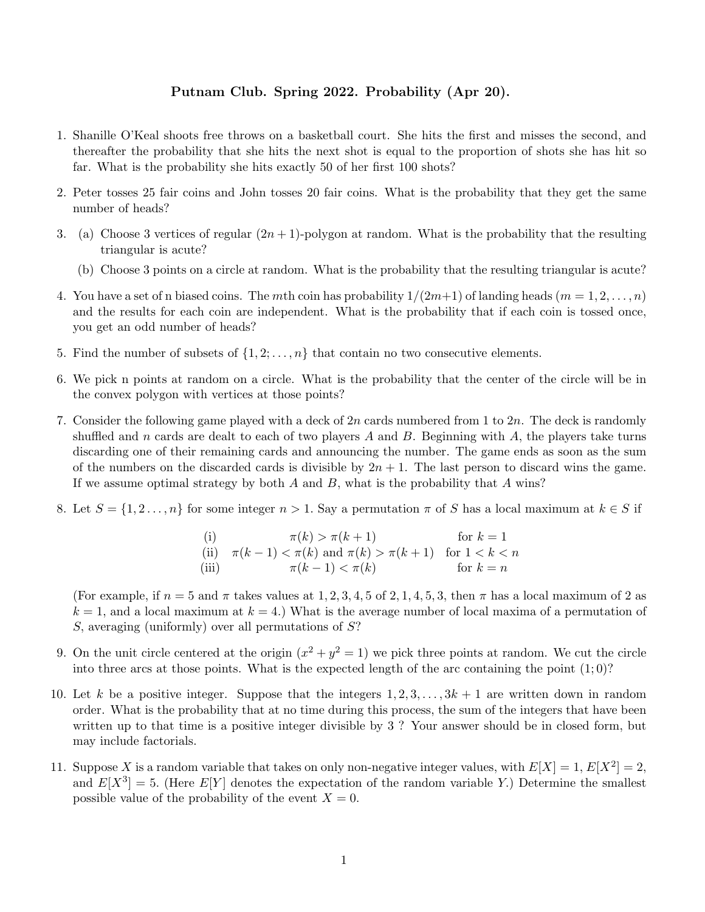## Putnam Club. Spring 2022. Probability (Apr 20).

- 1. Shanille O'Keal shoots free throws on a basketball court. She hits the first and misses the second, and thereafter the probability that she hits the next shot is equal to the proportion of shots she has hit so far. What is the probability she hits exactly 50 of her first 100 shots?
- 2. Peter tosses 25 fair coins and John tosses 20 fair coins. What is the probability that they get the same number of heads?
- 3. (a) Choose 3 vertices of regular  $(2n+1)$ -polygon at random. What is the probability that the resulting triangular is acute?
	- (b) Choose 3 points on a circle at random. What is the probability that the resulting triangular is acute?
- 4. You have a set of n biased coins. The mth coin has probability  $1/(2m+1)$  of landing heads  $(m = 1, 2, \ldots, n)$ and the results for each coin are independent. What is the probability that if each coin is tossed once, you get an odd number of heads?
- 5. Find the number of subsets of  $\{1, 2, \ldots, n\}$  that contain no two consecutive elements.
- 6. We pick n points at random on a circle. What is the probability that the center of the circle will be in the convex polygon with vertices at those points?
- 7. Consider the following game played with a deck of  $2n$  cards numbered from 1 to  $2n$ . The deck is randomly shuffled and n cards are dealt to each of two players  $A$  and  $B$ . Beginning with  $A$ , the players take turns discarding one of their remaining cards and announcing the number. The game ends as soon as the sum of the numbers on the discarded cards is divisible by  $2n + 1$ . The last person to discard wins the game. If we assume optimal strategy by both A and B, what is the probability that A wins?
- 8. Let  $S = \{1, 2, ..., n\}$  for some integer  $n > 1$ . Say a permutation  $\pi$  of S has a local maximum at  $k \in S$  if

\n- (i) 
$$
\pi(k) > \pi(k+1)
$$
 for  $k = 1$
\n- (ii)  $\pi(k-1) < \pi(k)$  and  $\pi(k) > \pi(k+1)$  for  $1 < k < n$
\n- (iii)  $\pi(k-1) < \pi(k)$  for  $k = n$
\n

(For example, if  $n = 5$  and  $\pi$  takes values at 1, 2, 3, 4, 5 of 2, 1, 4, 5, 3, then  $\pi$  has a local maximum of 2 as  $k = 1$ , and a local maximum at  $k = 4$ .) What is the average number of local maxima of a permutation of S, averaging (uniformly) over all permutations of S?

- 9. On the unit circle centered at the origin  $(x^2 + y^2 = 1)$  we pick three points at random. We cut the circle into three arcs at those points. What is the expected length of the arc containing the point  $(1;0)$ ?
- 10. Let k be a positive integer. Suppose that the integers  $1, 2, 3, \ldots, 3k + 1$  are written down in random order. What is the probability that at no time during this process, the sum of the integers that have been written up to that time is a positive integer divisible by 3 ? Your answer should be in closed form, but may include factorials.
- 11. Suppose X is a random variable that takes on only non-negative integer values, with  $E[X] = 1$ ,  $E[X^2] = 2$ , and  $E[X^3] = 5$ . (Here  $E[Y]$  denotes the expectation of the random variable Y.) Determine the smallest possible value of the probability of the event  $X = 0$ .